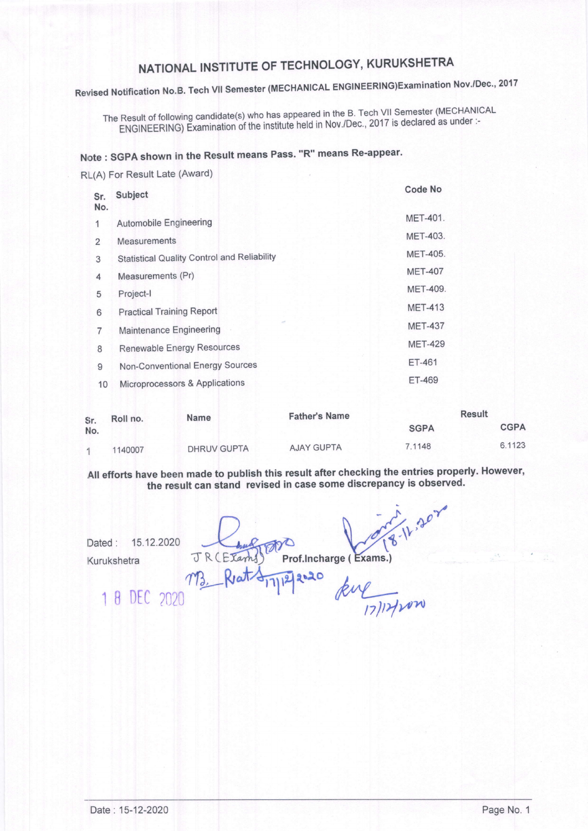## NATIONAL INSTITUTE OF TECHNOLOGY, KURUKSHETRA

Revised Notification No.B. Tech VII Semester (MECHANICAL ENGINEERING)Examination Nov./Dec., 2017

The Result of following candidate(s) who has appeared in the B. Tech VII Semester (MECHANICAL ENGINEERING) Examination of the institute held in Nov./Dec., 2017 is declared as under :-

#### Note : SGPA shown in the Result means Pass. "R" means Re-appear.

RL(A) For Result Late (Award)

| Sr.<br>No.     | Subject                                            | <b>Code No</b>  |
|----------------|----------------------------------------------------|-----------------|
| 1              | Automobile Engineering                             | <b>MET-401.</b> |
| $\overline{2}$ | <b>Measurements</b>                                | <b>MET-403.</b> |
| 3              | <b>Statistical Quality Control and Reliability</b> | <b>MET-405.</b> |
| 4              | Measurements (Pr)                                  | <b>MET-407</b>  |
| 5              | Project-I                                          | <b>MET-409.</b> |
| 6              | <b>Practical Training Report</b>                   | <b>MET-413</b>  |
| 7              | Maintenance Engineering                            | <b>MET-437</b>  |
| 8              | Renewable Energy Resources                         | <b>MET-429</b>  |
| 9              | Non-Conventional Energy Sources                    | <b>ET-461</b>   |
| 10             | Microprocessors & Applications                     | ET-469          |
|                |                                                    |                 |

| Sr.<br>No. | Roll no. | <b>Name</b>        | <b>Father's Name</b> | <b>Result</b> |             |
|------------|----------|--------------------|----------------------|---------------|-------------|
|            |          |                    |                      | <b>SGPA</b>   | <b>CGPA</b> |
|            | 1140007  | <b>DHRUV GUPTA</b> | <b>AJAY GUPTA</b>    | 7.1148        | 6.1123      |

All efforts have been made to publish this result after checking the entries properly. However, the result can stand revised in case some discrepancy is observed.

8-11.202 Dated: 15.12.2020  $Kurukshetra$   $\pi R$   $\overline{M}$ ,  $\overline{R}$ am Prof.lncharge ( 2020 kue 17/17/10m 1 B DEC 2020